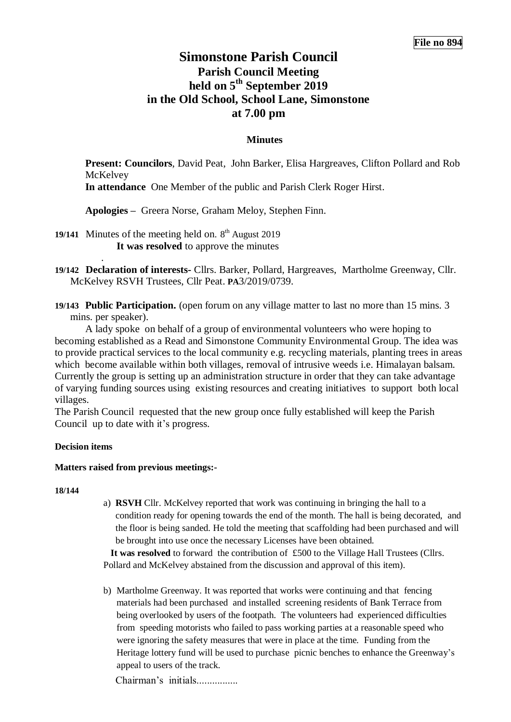# **Simonstone Parish Council Parish Council Meeting held on 5 th September 2019 in the Old School, School Lane, Simonstone at 7.00 pm**

# **Minutes**

**Present: Councilors**, David Peat, John Barker, Elisa Hargreaves, Clifton Pollard and Rob **McKelvey** 

**In attendance** One Member of the public and Parish Clerk Roger Hirst.

**Apologies –** Greera Norse, Graham Meloy, Stephen Finn.

19/141 Minutes of the meeting held on. 8<sup>th</sup> August 2019 **It was resolved** to approve the minutes

- **19/142 Declaration of interests-** Cllrs. Barker, Pollard, Hargreaves, Martholme Greenway, Cllr. McKelvey RSVH Trustees, Cllr Peat. **PA**3/2019/0739.
- **19/143 Public Participation.** (open forum on any village matter to last no more than 15 mins. 3 mins. per speaker).

A lady spoke on behalf of a group of environmental volunteers who were hoping to becoming established as a Read and Simonstone Community Environmental Group. The idea was to provide practical services to the local community e.g. recycling materials, planting trees in areas which become available within both villages, removal of intrusive weeds i.e. Himalayan balsam. Currently the group is setting up an administration structure in order that they can take advantage of varying funding sources using existing resources and creating initiatives to support both local villages.

The Parish Council requested that the new group once fully established will keep the Parish Council up to date with it's progress.

### **Decision items**

.

### **Matters raised from previous meetings:-**

**18/144**

a) **RSVH** Cllr. McKelvey reported that work was continuing in bringing the hall to a condition ready for opening towards the end of the month. The hall is being decorated, and the floor is being sanded. He told the meeting that scaffolding had been purchased and will be brought into use once the necessary Licenses have been obtained.

 **It was resolved** to forward the contribution of £500 to the Village Hall Trustees (Cllrs. Pollard and McKelvey abstained from the discussion and approval of this item).

b) Martholme Greenway. It was reported that works were continuing and that fencing materials had been purchased and installed screening residents of Bank Terrace from being overlooked by users of the footpath. The volunteers had experienced difficulties from speeding motorists who failed to pass working parties at a reasonable speed who were ignoring the safety measures that were in place at the time. Funding from the Heritage lottery fund will be used to purchase picnic benches to enhance the Greenway's appeal to users of the track.

Chairman's initials................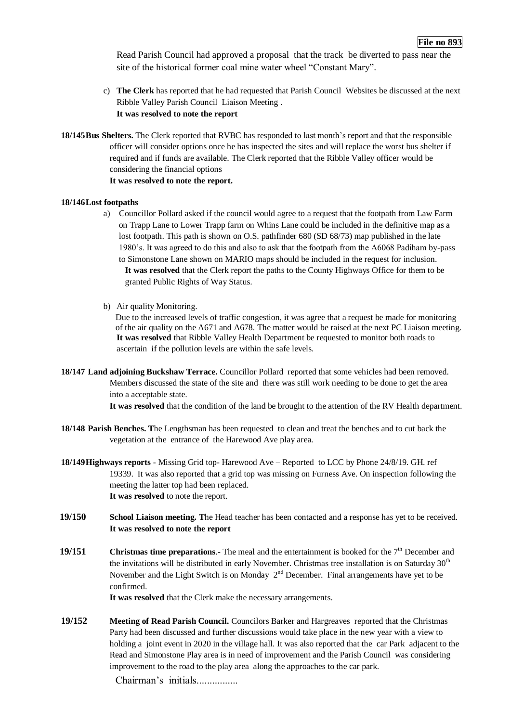Read Parish Council had approved a proposal that the track be diverted to pass near the site of the historical former coal mine water wheel "Constant Mary".

- c) **The Clerk** has reported that he had requested that Parish Council Websites be discussed at the next Ribble Valley Parish Council Liaison Meeting . **It was resolved to note the report**
- **18/145Bus Shelters.** The Clerk reported that RVBC has responded to last month's report and that the responsible officer will consider options once he has inspected the sites and will replace the worst bus shelter if required and if funds are available. The Clerk reported that the Ribble Valley officer would be considering the financial options **It was resolved to note the report.**

#### **18/146Lost footpaths**

- a) Councillor Pollard asked if the council would agree to a request that the footpath from Law Farm on Trapp Lane to Lower Trapp farm on Whins Lane could be included in the definitive map as a lost footpath. This path is shown on O.S. pathfinder 680 (SD 68/73) map published in the late 1980's. It was agreed to do this and also to ask that the footpath from the A6068 Padiham by-pass to Simonstone Lane shown on MARIO maps should be included in the request for inclusion. **It was resolved** that the Clerk report the paths to the County Highways Office for them to be granted Public Rights of Way Status.
- b) Air quality Monitoring.

Due to the increased levels of traffic congestion, it was agree that a request be made for monitoring of the air quality on the A671 and A678. The matter would be raised at the next PC Liaison meeting. **It was resolved** that Ribble Valley Health Department be requested to monitor both roads to ascertain if the pollution levels are within the safe levels.

**18/147 Land adjoining Buckshaw Terrace.** Councillor Pollard reported that some vehicles had been removed. Members discussed the state of the site and there was still work needing to be done to get the area into a acceptable state.

**It was resolved** that the condition of the land be brought to the attention of the RV Health department.

- **18/148 Parish Benches. T**he Lengthsman has been requested to clean and treat the benches and to cut back the vegetation at the entrance of the Harewood Ave play area.
- **18/149Highways reports** Missing Grid top- Harewood Ave Reported to LCC by Phone 24/8/19. GH. ref 19339. It was also reported that a grid top was missing on Furness Ave. On inspection following the meeting the latter top had been replaced. **It was resolved** to note the report.
- **19/150 School Liaison meeting. T**he Head teacher has been contacted and a response has yet to be received. **It was resolved to note the report**
- **19/151 Christmas time preparations**. The meal and the entertainment is booked for the 7<sup>th</sup> December and the invitations will be distributed in early November. Christmas tree installation is on Saturday  $30<sup>th</sup>$ November and the Light Switch is on Monday  $2<sup>nd</sup>$  December. Final arrangements have yet to be confirmed.

**It was resolved** that the Clerk make the necessary arrangements.

**19/152 Meeting of Read Parish Council.** Councilors Barker and Hargreaves reported that the Christmas Party had been discussed and further discussions would take place in the new year with a view to holding a joint event in 2020 in the village hall. It was also reported that the car Park adjacent to the Read and Simonstone Play area is in need of improvement and the Parish Council was considering improvement to the road to the play area along the approaches to the car park.

Chairman's initials................